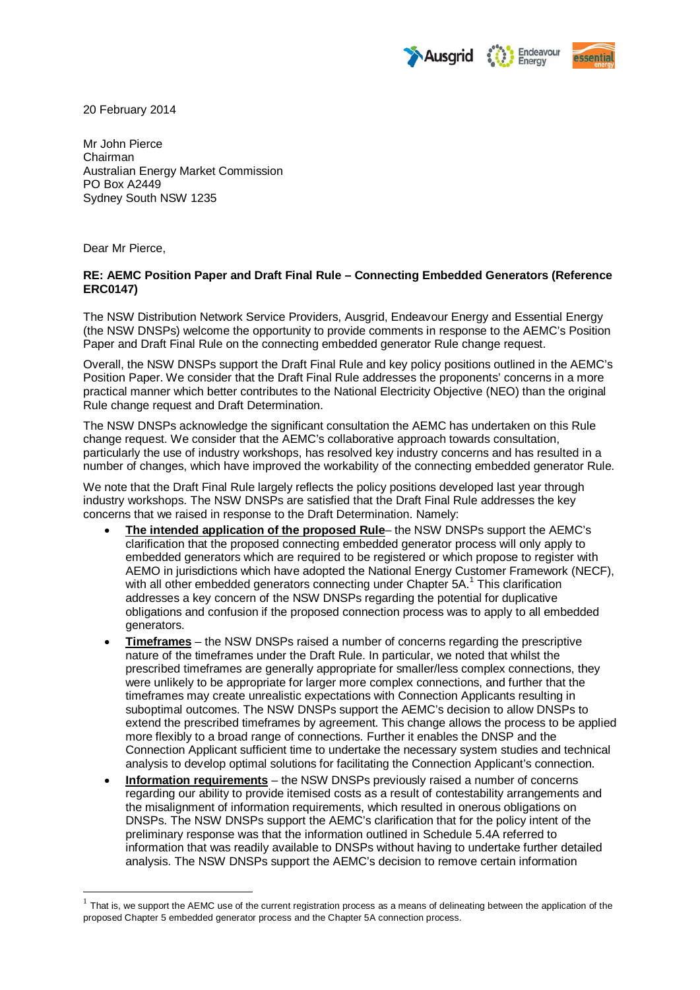



20 February 2014

Mr John Pierce Chairman Australian Energy Market Commission PO Box A2449 Sydney South NSW 1235

Dear Mr Pierce,

### **RE: AEMC Position Paper and Draft Final Rule – Connecting Embedded Generators (Reference ERC0147)**

The NSW Distribution Network Service Providers, Ausgrid, Endeavour Energy and Essential Energy (the NSW DNSPs) welcome the opportunity to provide comments in response to the AEMC's Position Paper and Draft Final Rule on the connecting embedded generator Rule change request.

Overall, the NSW DNSPs support the Draft Final Rule and key policy positions outlined in the AEMC's Position Paper. We consider that the Draft Final Rule addresses the proponents' concerns in a more practical manner which better contributes to the National Electricity Objective (NEO) than the original Rule change request and Draft Determination.

The NSW DNSPs acknowledge the significant consultation the AEMC has undertaken on this Rule change request. We consider that the AEMC's collaborative approach towards consultation, particularly the use of industry workshops, has resolved key industry concerns and has resulted in a number of changes, which have improved the workability of the connecting embedded generator Rule.

We note that the Draft Final Rule largely reflects the policy positions developed last year through industry workshops. The NSW DNSPs are satisfied that the Draft Final Rule addresses the key concerns that we raised in response to the Draft Determination. Namely:

- **The intended application of the proposed Rule** the NSW DNSPs support the AEMC's clarification that the proposed connecting embedded generator process will only apply to embedded generators which are required to be registered or which propose to register with AEMO in jurisdictions which have adopted the National Energy Customer Framework (NECF), with all other embedded generators connecting under Chapter 5A.<sup>[1](#page-0-0)</sup> This clarification addresses a key concern of the NSW DNSPs regarding the potential for duplicative obligations and confusion if the proposed connection process was to apply to all embedded generators.
- **Timeframes** the NSW DNSPs raised a number of concerns regarding the prescriptive nature of the timeframes under the Draft Rule. In particular, we noted that whilst the prescribed timeframes are generally appropriate for smaller/less complex connections, they were unlikely to be appropriate for larger more complex connections, and further that the timeframes may create unrealistic expectations with Connection Applicants resulting in suboptimal outcomes. The NSW DNSPs support the AEMC's decision to allow DNSPs to extend the prescribed timeframes by agreement. This change allows the process to be applied more flexibly to a broad range of connections. Further it enables the DNSP and the Connection Applicant sufficient time to undertake the necessary system studies and technical analysis to develop optimal solutions for facilitating the Connection Applicant's connection.
- **Information requirements** the NSW DNSPs previously raised a number of concerns regarding our ability to provide itemised costs as a result of contestability arrangements and the misalignment of information requirements, which resulted in onerous obligations on DNSPs. The NSW DNSPs support the AEMC's clarification that for the policy intent of the preliminary response was that the information outlined in Schedule 5.4A referred to information that was readily available to DNSPs without having to undertake further detailed analysis. The NSW DNSPs support the AEMC's decision to remove certain information

<span id="page-0-0"></span> $1$  That is, we support the AEMC use of the current registration process as a means of delineating between the application of the proposed Chapter 5 embedded generator process and the Chapter 5A connection process.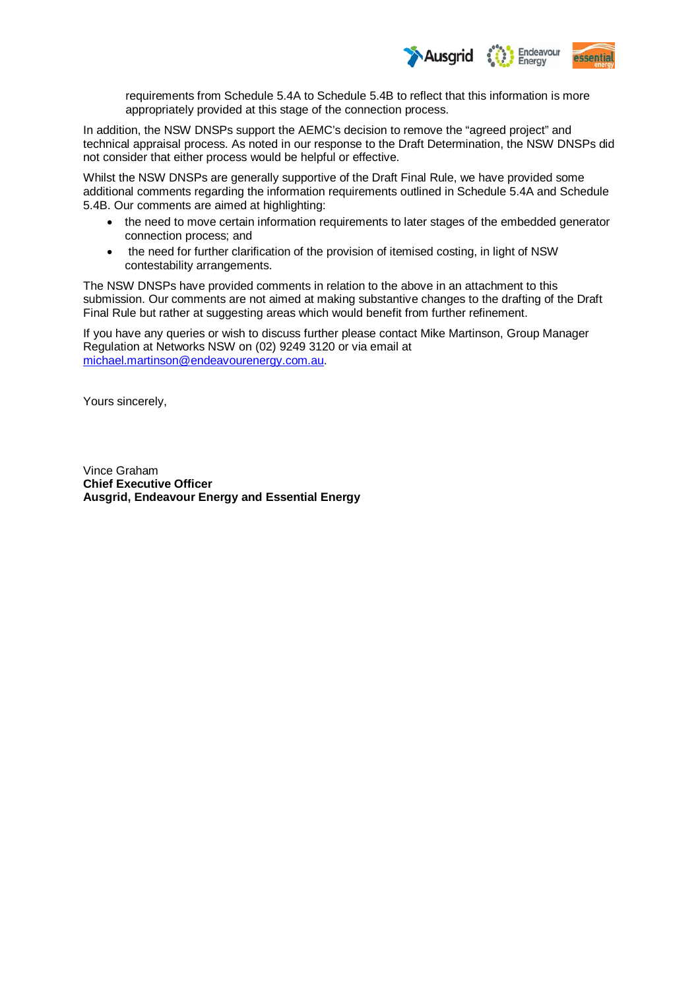

requirements from Schedule 5.4A to Schedule 5.4B to reflect that this information is more appropriately provided at this stage of the connection process.

In addition, the NSW DNSPs support the AEMC's decision to remove the "agreed project" and technical appraisal process. As noted in our response to the Draft Determination, the NSW DNSPs did not consider that either process would be helpful or effective.

Whilst the NSW DNSPs are generally supportive of the Draft Final Rule, we have provided some additional comments regarding the information requirements outlined in Schedule 5.4A and Schedule 5.4B. Our comments are aimed at highlighting:

- the need to move certain information requirements to later stages of the embedded generator connection process; and
- the need for further clarification of the provision of itemised costing, in light of NSW contestability arrangements.

The NSW DNSPs have provided comments in relation to the above in an attachment to this submission. Our comments are not aimed at making substantive changes to the drafting of the Draft Final Rule but rather at suggesting areas which would benefit from further refinement.

If you have any queries or wish to discuss further please contact Mike Martinson, Group Manager Regulation at Networks NSW on (02) 9249 3120 or via email at [michael.martinson@endeavourenergy.com.au.](mailto:michael.martinson@endeavourenergy.com.au)

Yours sincerely,

Vince Graham **Chief Executive Officer Ausgrid, Endeavour Energy and Essential Energy**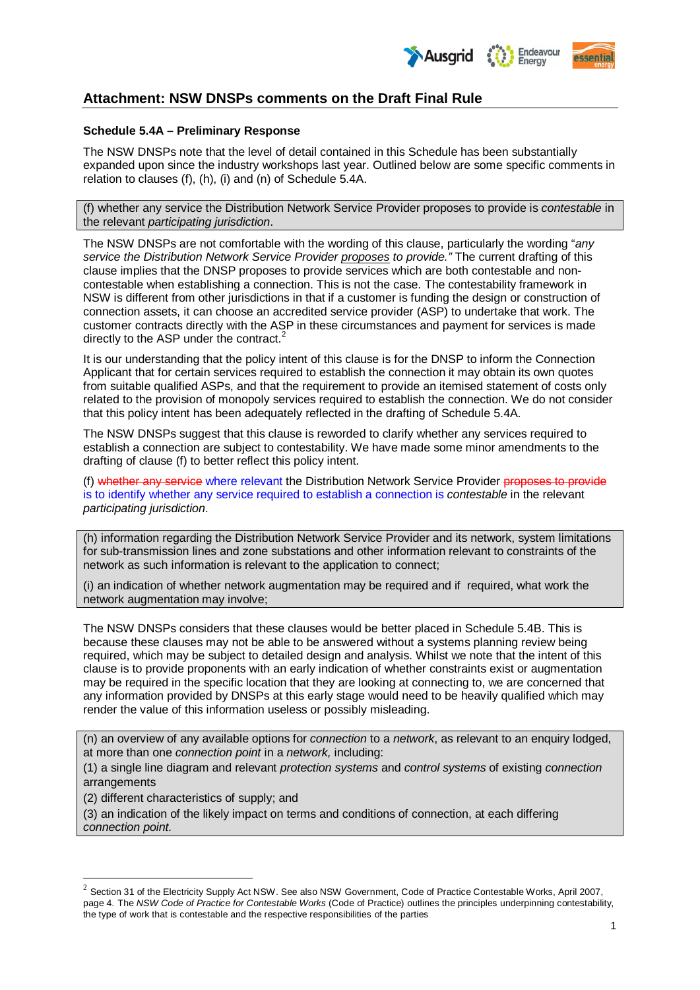

# **Attachment: NSW DNSPs comments on the Draft Final Rule**

### **Schedule 5.4A – Preliminary Response**

The NSW DNSPs note that the level of detail contained in this Schedule has been substantially expanded upon since the industry workshops last year. Outlined below are some specific comments in relation to clauses (f), (h), (i) and (n) of Schedule 5.4A.

(f) whether any service the Distribution Network Service Provider proposes to provide is *contestable* in the relevant *participating jurisdiction*.

The NSW DNSPs are not comfortable with the wording of this clause, particularly the wording "*any service the Distribution Network Service Provider proposes to provide."* The current drafting of this clause implies that the DNSP proposes to provide services which are both contestable and noncontestable when establishing a connection. This is not the case. The contestability framework in NSW is different from other jurisdictions in that if a customer is funding the design or construction of connection assets, it can choose an accredited service provider (ASP) to undertake that work. The customer contracts directly with the ASP in these circumstances and payment for services is made directly to the ASP under the contract.<sup>[2](#page-2-0)</sup>

It is our understanding that the policy intent of this clause is for the DNSP to inform the Connection Applicant that for certain services required to establish the connection it may obtain its own quotes from suitable qualified ASPs, and that the requirement to provide an itemised statement of costs only related to the provision of monopoly services required to establish the connection. We do not consider that this policy intent has been adequately reflected in the drafting of Schedule 5.4A.

The NSW DNSPs suggest that this clause is reworded to clarify whether any services required to establish a connection are subject to contestability. We have made some minor amendments to the drafting of clause (f) to better reflect this policy intent.

(f) whether any service where relevant the Distribution Network Service Provider proposes to provide is to identify whether any service required to establish a connection is *contestable* in the relevant *participating jurisdiction*.

(h) information regarding the Distribution Network Service Provider and its network, system limitations for sub-transmission lines and zone substations and other information relevant to constraints of the network as such information is relevant to the application to connect;

(i) an indication of whether network augmentation may be required and if required, what work the network augmentation may involve;

The NSW DNSPs considers that these clauses would be better placed in Schedule 5.4B. This is because these clauses may not be able to be answered without a systems planning review being required, which may be subject to detailed design and analysis. Whilst we note that the intent of this clause is to provide proponents with an early indication of whether constraints exist or augmentation may be required in the specific location that they are looking at connecting to, we are concerned that any information provided by DNSPs at this early stage would need to be heavily qualified which may render the value of this information useless or possibly misleading.

(n) an overview of any available options for *connection* to a *network*, as relevant to an enquiry lodged, at more than one *connection point* in a *network,* including:

(1) a single line diagram and relevant *protection systems* and *control systems* of existing *connection*  arrangements

(2) different characteristics of supply; and

(3) an indication of the likely impact on terms and conditions of connection, at each differing *connection point.*

<span id="page-2-0"></span> $2$  Section 31 of the Electricity Supply Act NSW. See also NSW Government, Code of Practice Contestable Works, April 2007, page 4. The *NSW Code of Practice for Contestable Works* (Code of Practice) outlines the principles underpinning contestability, the type of work that is contestable and the respective responsibilities of the parties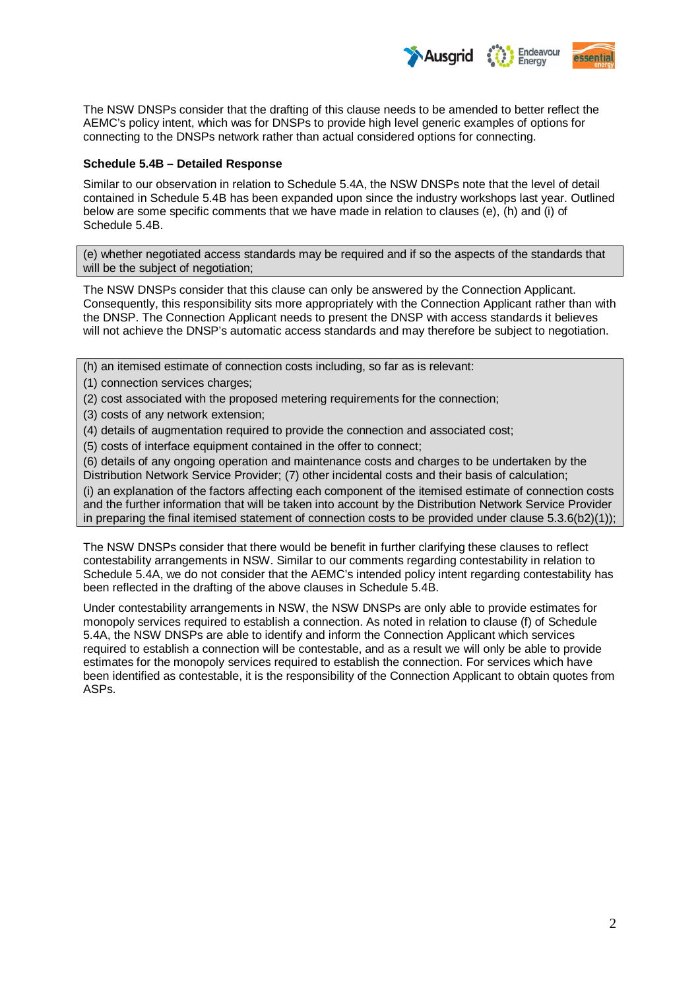

The NSW DNSPs consider that the drafting of this clause needs to be amended to better reflect the AEMC's policy intent, which was for DNSPs to provide high level generic examples of options for connecting to the DNSPs network rather than actual considered options for connecting.

#### **Schedule 5.4B – Detailed Response**

Similar to our observation in relation to Schedule 5.4A, the NSW DNSPs note that the level of detail contained in Schedule 5.4B has been expanded upon since the industry workshops last year. Outlined below are some specific comments that we have made in relation to clauses (e), (h) and (i) of Schedule 5.4B.

(e) whether negotiated access standards may be required and if so the aspects of the standards that will be the subject of negotiation;

The NSW DNSPs consider that this clause can only be answered by the Connection Applicant. Consequently, this responsibility sits more appropriately with the Connection Applicant rather than with the DNSP. The Connection Applicant needs to present the DNSP with access standards it believes will not achieve the DNSP's automatic access standards and may therefore be subject to negotiation.

(h) an itemised estimate of connection costs including, so far as is relevant:

- (1) connection services charges:
- (2) cost associated with the proposed metering requirements for the connection;
- (3) costs of any network extension;
- (4) details of augmentation required to provide the connection and associated cost;

(5) costs of interface equipment contained in the offer to connect;

(6) details of any ongoing operation and maintenance costs and charges to be undertaken by the Distribution Network Service Provider; (7) other incidental costs and their basis of calculation;

(i) an explanation of the factors affecting each component of the itemised estimate of connection costs and the further information that will be taken into account by the Distribution Network Service Provider in preparing the final itemised statement of connection costs to be provided under clause 5.3.6(b2)(1));

The NSW DNSPs consider that there would be benefit in further clarifying these clauses to reflect contestability arrangements in NSW. Similar to our comments regarding contestability in relation to Schedule 5.4A, we do not consider that the AEMC's intended policy intent regarding contestability has been reflected in the drafting of the above clauses in Schedule 5.4B.

Under contestability arrangements in NSW, the NSW DNSPs are only able to provide estimates for monopoly services required to establish a connection. As noted in relation to clause (f) of Schedule 5.4A, the NSW DNSPs are able to identify and inform the Connection Applicant which services required to establish a connection will be contestable, and as a result we will only be able to provide estimates for the monopoly services required to establish the connection. For services which have been identified as contestable, it is the responsibility of the Connection Applicant to obtain quotes from ASPs.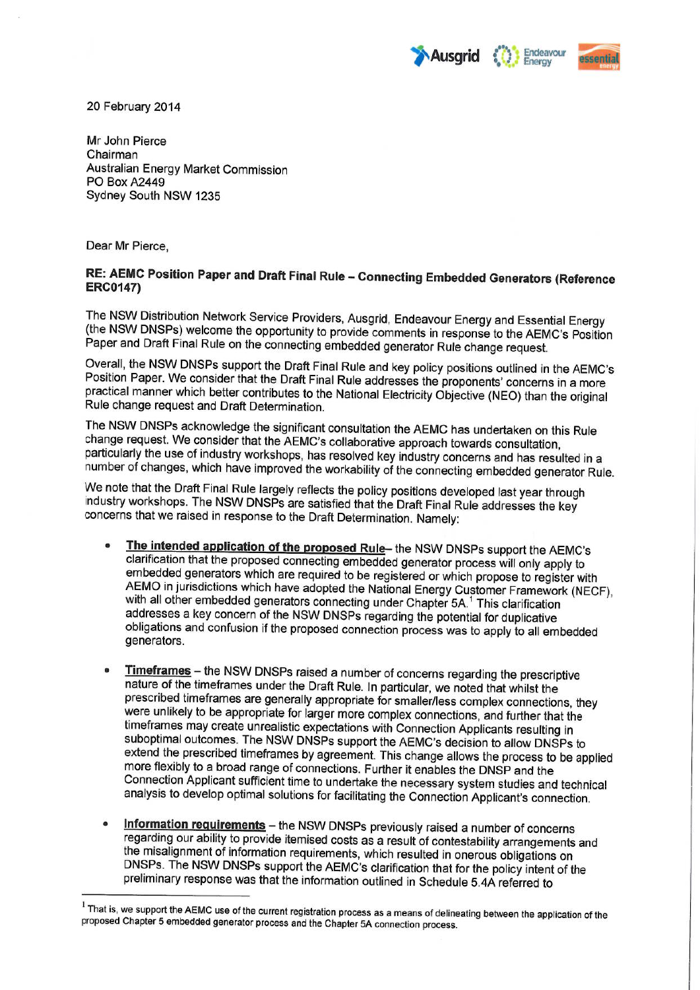



20 February 2014

Mr John Pierce Chairman Australian Energy Market Commission **PO Box A2449** Sydney South NSW 1235

Dear Mr Pierce.

# RE: AEMC Position Paper and Draft Final Rule - Connecting Embedded Generators (Reference **ERC0147)**

The NSW Distribution Network Service Providers, Ausgrid, Endeavour Energy and Essential Energy (the NSW DNSPs) welcome the opportunity to provide comments in response to the AEMC's Position Paper and Draft Final Rule on the connecting embedded generator Rule change request.

Overall, the NSW DNSPs support the Draft Final Rule and key policy positions outlined in the AEMC's Position Paper. We consider that the Draft Final Rule addresses the proponents' concerns in a more practical manner which better contributes to the National Electricity Objective (NEO) than the original Rule change request and Draft Determination.

The NSW DNSPs acknowledge the significant consultation the AEMC has undertaken on this Rule change request. We consider that the AEMC's collaborative approach towards consultation, particularly the use of industry workshops, has resolved key industry concerns and has resulted in a number of changes, which have improved the workability of the connecting embedded generator Rule.

We note that the Draft Final Rule largely reflects the policy positions developed last year through industry workshops. The NSW DNSPs are satisfied that the Draft Final Rule addresses the key concerns that we raised in response to the Draft Determination. Namely:

- The intended application of the proposed Rule- the NSW DNSPs support the AEMC's  $\bullet$ clarification that the proposed connecting embedded generator process will only apply to embedded generators which are required to be registered or which propose to register with AEMO in jurisdictions which have adopted the National Energy Customer Framework (NECF), with all other embedded generators connecting under Chapter 5A.<sup>1</sup> This clarification addresses a key concern of the NSW DNSPs regarding the potential for duplicative obligations and confusion if the proposed connection process was to apply to all embedded generators.
- Timeframes the NSW DNSPs raised a number of concerns regarding the prescriptive nature of the timeframes under the Draft Rule. In particular, we noted that whilst the prescribed timeframes are generally appropriate for smaller/less complex connections, they were unlikely to be appropriate for larger more complex connections, and further that the timeframes may create unrealistic expectations with Connection Applicants resulting in suboptimal outcomes. The NSW DNSPs support the AEMC's decision to allow DNSPs to extend the prescribed timeframes by agreement. This change allows the process to be applied more flexibly to a broad range of connections. Further it enables the DNSP and the Connection Applicant sufficient time to undertake the necessary system studies and technical analysis to develop optimal solutions for facilitating the Connection Applicant's connection.
- Information requirements the NSW DNSPs previously raised a number of concerns regarding our ability to provide itemised costs as a result of contestability arrangements and the misalignment of information requirements, which resulted in onerous obligations on DNSPs. The NSW DNSPs support the AEMC's clarification that for the policy intent of the preliminary response was that the information outlined in Schedule 5.4A referred to

<sup>&</sup>lt;sup>1</sup> That is, we support the AEMC use of the current registration process as a means of delineating between the application of the proposed Chapter 5 embedded generator process and the Chapter 5A connection process.